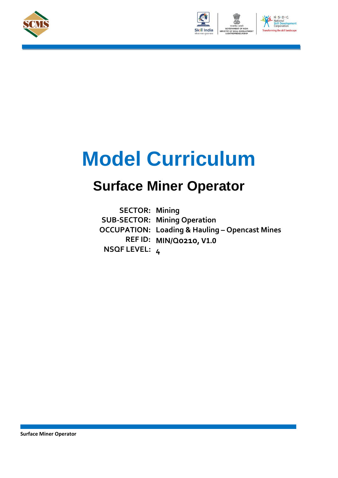





# **Model Curriculum**

## **Surface Miner Operator**

**SECTOR: Mining SUB-SECTOR: Mining Operation OCCUPATION: Loading & Hauling – Opencast Mines REF ID: MIN/Q0210, V1.0 NSQF LEVEL: 4**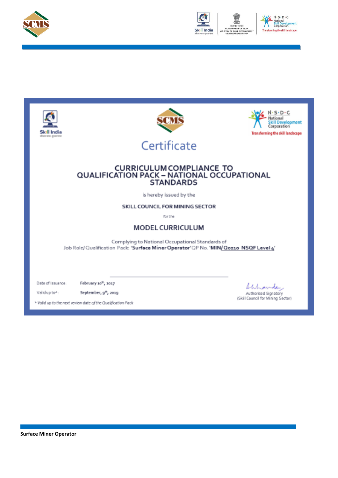



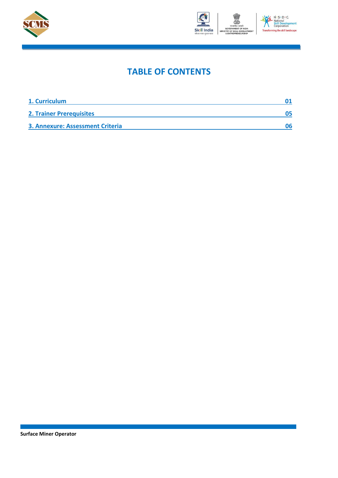



### **TABLE OF CONTENTS**

| 1. Curriculum                    |  |
|----------------------------------|--|
| <b>2. Trainer Prerequisites</b>  |  |
| 3. Annexure: Assessment Criteria |  |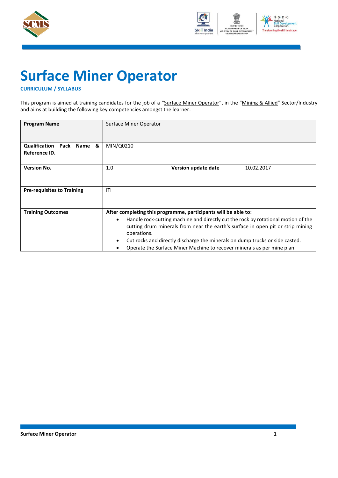



# **Surface Miner Operator**

#### <span id="page-3-0"></span>**CURRICULUM / SYLLABUS**

This program is aimed at training candidates for the job of a "Surface Miner Operator", in the "Mining & Allied" Sector/Industry and aims at building the following key competencies amongst the learner.

| <b>Program Name</b>                                  | <b>Surface Miner Operator</b>         |                                                                                                                                                                                                                                                                                                                                                                                                   |            |
|------------------------------------------------------|---------------------------------------|---------------------------------------------------------------------------------------------------------------------------------------------------------------------------------------------------------------------------------------------------------------------------------------------------------------------------------------------------------------------------------------------------|------------|
| <b>Qualification Pack Name</b><br>&<br>Reference ID. | MIN/Q0210                             |                                                                                                                                                                                                                                                                                                                                                                                                   |            |
| <b>Version No.</b>                                   | 1.0                                   | Version update date                                                                                                                                                                                                                                                                                                                                                                               | 10.02.2017 |
| <b>Pre-requisites to Training</b>                    | ITI                                   |                                                                                                                                                                                                                                                                                                                                                                                                   |            |
| <b>Training Outcomes</b>                             | $\bullet$<br>operations.<br>$\bullet$ | After completing this programme, participants will be able to:<br>Handle rock-cutting machine and directly cut the rock by rotational motion of the<br>cutting drum minerals from near the earth's surface in open pit or strip mining<br>Cut rocks and directly discharge the minerals on dump trucks or side casted.<br>Operate the Surface Miner Machine to recover minerals as per mine plan. |            |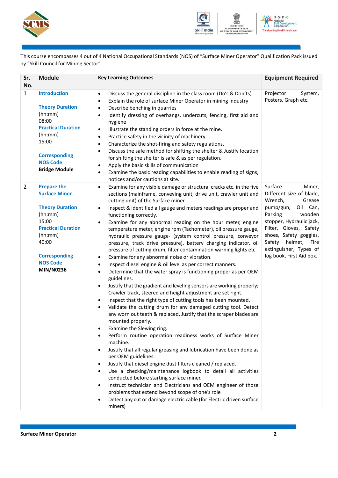



This course encompasses 4 out of 4 National Occupational Standards (NOS) of "Surface Miner Operator" Qualification Pack issued by "Skill Council for Mining Sector".

| Sr.<br>No.     | <b>Module</b>                                                                                                                                                                                            | <b>Key Learning Outcomes</b>                                                                                                                                                                                                                                                                                                                                                                                                                                                                                                                                                                                                                                                                                                                                                                                                                                                                                                                                                                                                                                                                                                                                                                                                                                                                                                                                                                                                                                                                                                                                                                                                                                                                                                                                                                                                                                                                                                                         | <b>Equipment Required</b>                                                                                                                                                                                                                                                        |
|----------------|----------------------------------------------------------------------------------------------------------------------------------------------------------------------------------------------------------|------------------------------------------------------------------------------------------------------------------------------------------------------------------------------------------------------------------------------------------------------------------------------------------------------------------------------------------------------------------------------------------------------------------------------------------------------------------------------------------------------------------------------------------------------------------------------------------------------------------------------------------------------------------------------------------------------------------------------------------------------------------------------------------------------------------------------------------------------------------------------------------------------------------------------------------------------------------------------------------------------------------------------------------------------------------------------------------------------------------------------------------------------------------------------------------------------------------------------------------------------------------------------------------------------------------------------------------------------------------------------------------------------------------------------------------------------------------------------------------------------------------------------------------------------------------------------------------------------------------------------------------------------------------------------------------------------------------------------------------------------------------------------------------------------------------------------------------------------------------------------------------------------------------------------------------------------|----------------------------------------------------------------------------------------------------------------------------------------------------------------------------------------------------------------------------------------------------------------------------------|
| $\mathbf{1}$   | <b>Introduction</b><br><b>Theory Duration</b><br>(hh:mm)<br>08:00<br><b>Practical Duration</b><br>(hh:mm)<br>15:00<br><b>Corresponding</b><br><b>NOS Code</b><br><b>Bridge Module</b>                    | Discuss the general discipline in the class room (Do's & Don'ts)<br>$\bullet$<br>Explain the role of surface Miner Operator in mining industry<br>$\bullet$<br>Describe benching in quarries<br>$\bullet$<br>Identify dressing of overhangs, undercuts, fencing, first aid and<br>$\bullet$<br>hygiene<br>Illustrate the standing orders in force at the mine.<br>$\bullet$<br>Practice safety in the vicinity of machinery.<br>$\bullet$<br>Characterize the shot-firing and safety regulations.<br>$\bullet$<br>Discuss the safe method for shifting the shelter & Justify location<br>$\bullet$<br>for shifting the shelter is safe & as per regulation.<br>Apply the basic skills of communication<br>$\bullet$<br>Examine the basic reading capabilities to enable reading of signs,<br>$\bullet$<br>notices and/or cautions at site.                                                                                                                                                                                                                                                                                                                                                                                                                                                                                                                                                                                                                                                                                                                                                                                                                                                                                                                                                                                                                                                                                                           | Projector<br>System,<br>Posters, Graph etc.                                                                                                                                                                                                                                      |
| $\overline{2}$ | <b>Prepare the</b><br><b>Surface Miner</b><br><b>Theory Duration</b><br>(hh:mm)<br>15:00<br><b>Practical Duration</b><br>(hh:mm)<br>40:00<br><b>Corresponding</b><br><b>NOS Code</b><br><b>MIN/N0236</b> | Examine for any visible damage or structural cracks etc. in the five<br>$\bullet$<br>sections (mainframe, conveying unit, drive unit, crawler unit and<br>cutting unit) of the Surface miner.<br>Inspect & identified all gauge and meters readings are proper and<br>$\bullet$<br>functioning correctly.<br>Examine for any abnormal reading on the hour meter, engine<br>٠<br>temperature meter, engine rpm (Tachometer), oil pressure gauge,<br>hydraulic pressure gauge- (system control pressure, conveyor<br>pressure, track drive pressure), battery charging indicator, oil<br>pressure of cutting drum, filter contamination warning lights etc.<br>Examine for any abnormal noise or vibration.<br>$\bullet$<br>Inspect diesel engine & oil level as per correct manners.<br>$\bullet$<br>Determine that the water spray is functioning proper as per OEM<br>$\bullet$<br>guidelines.<br>Justify that the gradient and leveling sensors are working properly;<br>$\bullet$<br>Crawler track, steered and height adjustment are set right.<br>Inspect that the right type of cutting tools has been mounted.<br>$\bullet$<br>Validate the cutting drum for any damaged cutting tool. Detect<br>$\bullet$<br>any worn out teeth & replaced. Justify that the scraper blades are<br>mounted properly.<br>Examine the Slewing ring.<br>Perform routine operation readiness works of Surface Miner<br>machine.<br>Justify that all regular greasing and lubrication have been done as<br>$\bullet$<br>per OEM guidelines.<br>Justify that diesel engine dust filters cleaned / replaced.<br>$\bullet$<br>Use a checking/maintenance logbook to detail all activities<br>$\bullet$<br>conducted before starting surface miner.<br>Instruct technician and Electricians and OEM engineer of those<br>٠<br>problems that extend beyond scope of one's role<br>Detect any cut or damage electric cable (for Electric driven surface<br>٠<br>miners) | Surface<br>Miner,<br>Different size of blade,<br>Wrench,<br>Grease<br>pump/gun,<br>Oil Can,<br>Parking<br>wooden<br>stopper, Hydraulic jack,<br>Filter, Gloves, Safety<br>shoes, Safety goggles,<br>helmet, Fire<br>Safety<br>extinguisher, Types of<br>log book, First Aid box. |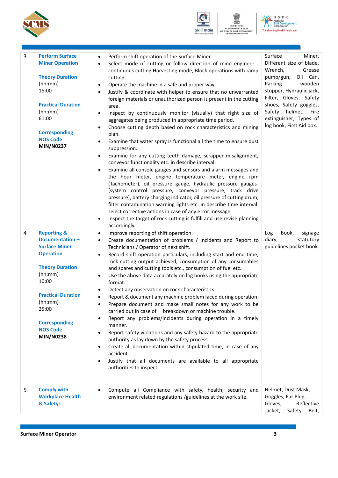



N . S . D . C<br>National<br>Skill Develop<br>Corporation ng the skill landscape

 $\overline{\phantom{a}}$ 

ent

| 3<br>4<br>5 | <b>Perform Surface</b><br><b>Miner Operation</b><br><b>Theory Duration</b><br>(hh:mm)<br>15:00<br><b>Practical Duration</b><br>(hh:mm)<br>61:00<br><b>Corresponding</b><br><b>NOS Code</b><br>MIN/N0237<br><b>Reporting &amp;</b><br><b>Documentation-</b><br><b>Surface Miner</b><br><b>Operation</b><br><b>Theory Duration</b><br>(hh:mm)<br>10:00<br><b>Practical Duration</b><br>(hh:mm)<br>25:00<br><b>Corresponding</b><br><b>NOS Code</b><br><b>MIN/N0238</b><br><b>Comply with</b> | Perform shift operation of the Surface Miner.<br>$\bullet$<br>Select mode of cutting or follow direction of mine engineer -<br>$\bullet$<br>continuous cutting Harvesting mode, Block operations with ramp<br>cutting.<br>Operate the machine in a safe and proper way.<br>٠<br>Justify & coordinate with helper to ensure that no unwarranted<br>$\bullet$<br>foreign materials or unauthorized person is present in the cutting<br>area.<br>Inspect by continuously monitor (visually) that right size of<br>٠<br>aggregates being produced in appropriate time period.<br>Choose cutting depth based on rock characteristics and mining<br>plan.<br>Examine that water spray is functional all the time to ensure dust<br>٠<br>suppression.<br>Examine for any cutting teeth damage, scrapper misalignment,<br>$\bullet$<br>conveyor functionality etc. in describe interval.<br>Examine all console gauges and sensors and alarm messages and<br>the hour meter, engine temperature meter, engine rpm<br>(Tachometer), oil pressure gauge, hydraulic pressure gauges-<br>(system control pressure, conveyor pressure, track drive<br>pressure), battery charging indicator, oil pressure of cutting drum,<br>filter contamination warning lights etc. in describe time interval.<br>select corrective actions in case of any error message.<br>Inspect the target of rock cutting is fulfill and use revise planning<br>٠<br>accordingly.<br>Improve reporting of shift operation.<br>$\bullet$<br>Create documentation of problems / incidents and Report to<br>$\bullet$<br>Technicians / Operator of next shift.<br>Record shift operation particulars, including start and end time,<br>$\bullet$<br>rock cutting output achieved, consumption of any consumables<br>and spares and cutting tools etc., consumption of fuel etc.<br>Use the above data accurately on log books using the appropriate<br>٠<br>format.<br>Detect any observation on rock characteristics.<br>Report & document any machine problem faced during operation.<br>Prepare document and make small notes for any work to be<br>carried out in case of breakdown or machine trouble.<br>Report any problems/incidents during operation in a timely<br>$\bullet$<br>manner.<br>Report safety violations and any safety hazard to the appropriate<br>$\bullet$<br>authority as lay down by the safety process.<br>Create all documentation within stipulated time, in case of any<br>$\bullet$<br>accident.<br>Justify that all documents are available to all appropriate<br>authorities to inspect.<br>Compute all Compliance with safety, health, security and | Surface<br>Miner,<br>Different size of blade,<br>Wrench,<br>Grease<br>pump/gun,<br>Oil Can,<br>Parking<br>wooden<br>stopper, Hydraulic jack,<br>Filter, Gloves, Safety<br>shoes, Safety goggles,<br>Safety helmet, Fire<br>extinguisher, Types of<br>log book, First Aid box.<br>Book,<br>Log<br>signage<br>diary,<br>statutory<br>guidelines pocket book.<br>Helmet, Dust Mask, |
|-------------|--------------------------------------------------------------------------------------------------------------------------------------------------------------------------------------------------------------------------------------------------------------------------------------------------------------------------------------------------------------------------------------------------------------------------------------------------------------------------------------------|-------------------------------------------------------------------------------------------------------------------------------------------------------------------------------------------------------------------------------------------------------------------------------------------------------------------------------------------------------------------------------------------------------------------------------------------------------------------------------------------------------------------------------------------------------------------------------------------------------------------------------------------------------------------------------------------------------------------------------------------------------------------------------------------------------------------------------------------------------------------------------------------------------------------------------------------------------------------------------------------------------------------------------------------------------------------------------------------------------------------------------------------------------------------------------------------------------------------------------------------------------------------------------------------------------------------------------------------------------------------------------------------------------------------------------------------------------------------------------------------------------------------------------------------------------------------------------------------------------------------------------------------------------------------------------------------------------------------------------------------------------------------------------------------------------------------------------------------------------------------------------------------------------------------------------------------------------------------------------------------------------------------------------------------------------------------------------------------------------------------------------------------------------------------------------------------------------------------------------------------------------------------------------------------------------------------------------------------------------------------------------------------------------------------------------------------------------------------------------------------------------------------------------------------------------------------------------------------------------------------------------------------------|----------------------------------------------------------------------------------------------------------------------------------------------------------------------------------------------------------------------------------------------------------------------------------------------------------------------------------------------------------------------------------|
|             | <b>Workplace Health</b><br>& Safety:                                                                                                                                                                                                                                                                                                                                                                                                                                                       | environment related regulations /guidelines at the work site.                                                                                                                                                                                                                                                                                                                                                                                                                                                                                                                                                                                                                                                                                                                                                                                                                                                                                                                                                                                                                                                                                                                                                                                                                                                                                                                                                                                                                                                                                                                                                                                                                                                                                                                                                                                                                                                                                                                                                                                                                                                                                                                                                                                                                                                                                                                                                                                                                                                                                                                                                                                   | Goggles, Ear Plug,<br>Gloves,<br>Reflective<br>Jacket,<br>Safety<br>Belt,                                                                                                                                                                                                                                                                                                        |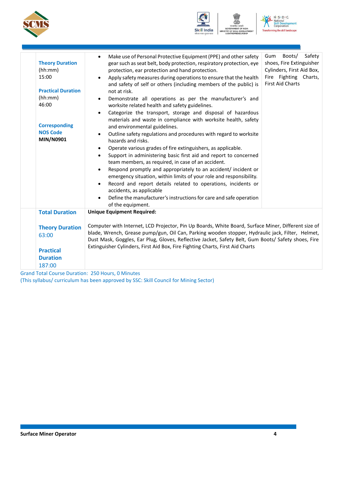





ENT

| <b>Theory Duration</b><br>(hh:mm)<br>15:00<br><b>Practical Duration</b><br>(hh:mm)<br>46:00<br><b>Corresponding</b><br><b>NOS Code</b><br>MIN/N0901 | Make use of Personal Protective Equipment (PPE) and other safety<br>$\bullet$<br>gear such as seat belt, body protection, respiratory protection, eye<br>protection, ear protection and hand protection.<br>Apply safety measures during operations to ensure that the health<br>and safety of self or others (including members of the public) is<br>not at risk.<br>Demonstrate all operations as per the manufacturer's and<br>$\bullet$<br>worksite related health and safety guidelines.<br>Categorize the transport, storage and disposal of hazardous<br>materials and waste in compliance with worksite health, safety<br>and environmental guidelines.<br>Outline safety regulations and procedures with regard to worksite<br>hazards and risks.<br>Operate various grades of fire extinguishers, as applicable.<br>٠<br>Support in administering basic first aid and report to concerned<br>team members, as required, in case of an accident.<br>Respond promptly and appropriately to an accident/ incident or<br>emergency situation, within limits of your role and responsibility.<br>Record and report details related to operations, incidents or<br>accidents, as applicable<br>Define the manufacturer's instructions for care and safe operation<br>of the equipment. | Boots/<br>Safety<br>Gum<br>shoes, Fire Extinguisher<br>Cylinders, First Aid Box,<br>Fire Fighting Charts,<br><b>First Aid Charts</b> |
|-----------------------------------------------------------------------------------------------------------------------------------------------------|--------------------------------------------------------------------------------------------------------------------------------------------------------------------------------------------------------------------------------------------------------------------------------------------------------------------------------------------------------------------------------------------------------------------------------------------------------------------------------------------------------------------------------------------------------------------------------------------------------------------------------------------------------------------------------------------------------------------------------------------------------------------------------------------------------------------------------------------------------------------------------------------------------------------------------------------------------------------------------------------------------------------------------------------------------------------------------------------------------------------------------------------------------------------------------------------------------------------------------------------------------------------------------------------|--------------------------------------------------------------------------------------------------------------------------------------|
| <b>Total Duration</b>                                                                                                                               | <b>Unique Equipment Required:</b>                                                                                                                                                                                                                                                                                                                                                                                                                                                                                                                                                                                                                                                                                                                                                                                                                                                                                                                                                                                                                                                                                                                                                                                                                                                          |                                                                                                                                      |
| <b>Theory Duration</b><br>63:00<br><b>Practical</b><br><b>Duration</b>                                                                              | Computer with Internet, LCD Projector, Pin Up Boards, White Board, Surface Miner, Different size of<br>blade, Wrench, Grease pump/gun, Oil Can, Parking wooden stopper, Hydraulic jack, Filter, Helmet,<br>Dust Mask, Goggles, Ear Plug, Gloves, Reflective Jacket, Safety Belt, Gum Boots/ Safety shoes, Fire<br>Extinguisher Cylinders, First Aid Box, Fire Fighting Charts, First Aid Charts                                                                                                                                                                                                                                                                                                                                                                                                                                                                                                                                                                                                                                                                                                                                                                                                                                                                                            |                                                                                                                                      |
| 187:00                                                                                                                                              | Tatel Carmea Drugblant, 350 Harris O.Minister                                                                                                                                                                                                                                                                                                                                                                                                                                                                                                                                                                                                                                                                                                                                                                                                                                                                                                                                                                                                                                                                                                                                                                                                                                              |                                                                                                                                      |

Grand Total Course Duration: 250 Hours, 0 Minutes (This syllabus/ curriculum has been approved by SSC: Skill Council for Mining Sector)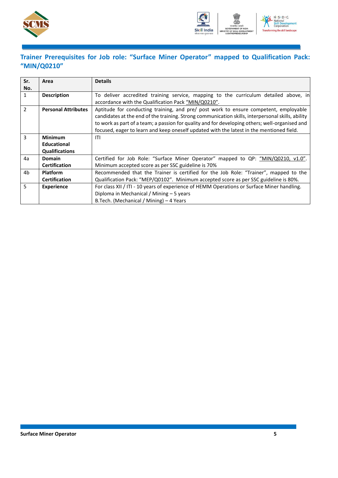



### <span id="page-7-0"></span>**Trainer Prerequisites for Job role: "Surface Miner Operator" mapped to Qualification Pack: "MIN/Q0210"**

| Sr.            | Area                       | <b>Details</b>                                                                                    |
|----------------|----------------------------|---------------------------------------------------------------------------------------------------|
| No.            |                            |                                                                                                   |
| $\mathbf{1}$   | <b>Description</b>         | To deliver accredited training service, mapping to the curriculum detailed above, in              |
|                |                            | accordance with the Qualification Pack "MIN/Q0210".                                               |
| $\overline{2}$ | <b>Personal Attributes</b> | Aptitude for conducting training, and pre/ post work to ensure competent, employable              |
|                |                            | candidates at the end of the training. Strong communication skills, interpersonal skills, ability |
|                |                            | to work as part of a team; a passion for quality and for developing others; well-organised and    |
|                |                            | focused, eager to learn and keep oneself updated with the latest in the mentioned field.          |
| 3              | <b>Minimum</b>             | ITI                                                                                               |
|                | <b>Educational</b>         |                                                                                                   |
|                | <b>Qualifications</b>      |                                                                                                   |
| 4a             | Domain                     | Certified for Job Role: "Surface Miner Operator" mapped to QP: "MIN/Q0210, v1.0".                 |
|                | <b>Certification</b>       | Minimum accepted score as per SSC guideline is 70%                                                |
| 4b             | <b>Platform</b>            | Recommended that the Trainer is certified for the Job Role: "Trainer", mapped to the              |
|                | <b>Certification</b>       | Qualification Pack: "MEP/Q0102". Minimum accepted score as per SSC guideline is 80%.              |
| 5              | <b>Experience</b>          | For class XII / ITI - 10 years of experience of HEMM Operations or Surface Miner handling.        |
|                |                            | Diploma in Mechanical / Mining - 5 years                                                          |
|                |                            | B.Tech. (Mechanical / Mining) - 4 Years                                                           |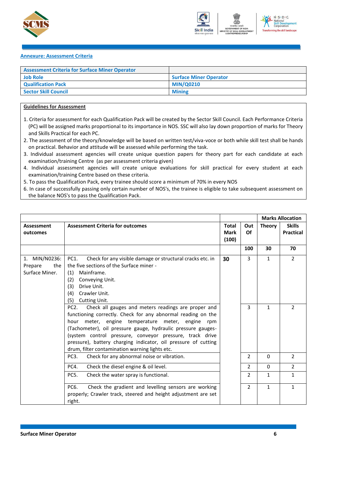



#### <span id="page-8-0"></span>**Annexure: Assessment Criteria**

| <b>Assessment Criteria for Surface Miner Operator</b> |                               |
|-------------------------------------------------------|-------------------------------|
| <b>Job Role</b>                                       | <b>Surface Miner Operator</b> |
| <b>Qualification Pack</b>                             | <b>MIN/Q0210</b>              |
| <b>Sector Skill Council</b>                           | <b>Mining</b>                 |

#### **Guidelines for Assessment**

- 1. Criteria for assessment for each Qualification Pack will be created by the Sector Skill Council. Each Performance Criteria (PC) will be assigned marks proportional to its importance in NOS. SSC will also lay down proportion of marks for Theory and Skills Practical for each PC.
- 2. The assessment of the theory/knowledge will be based on written test/viva-voce or both while skill test shall be hands on practical. Behavior and attitude will be assessed while performing the task.
- 3. Individual assessment agencies will create unique question papers for theory part for each candidate at each examination/training Centre (as per assessment criteria given)
- 4. Individual assessment agencies will create unique evaluations for skill practical for every student at each examination/training Centre based on these criteria.
- 5. To pass the Qualification Pack, every trainee should score a minimum of 70% in every NOS
- 6. In case of successfully passing only certain number of NOS's, the trainee is eligible to take subsequent assessment on the balance NOS's to pass the Qualification Pack.

|                                                      |                                                                                                                                                                                                                                                                                                                                                                                                                                                                                                                                                                                                                                                                                          |                                      |                          |                              | <b>Marks Allocation</b>           |
|------------------------------------------------------|------------------------------------------------------------------------------------------------------------------------------------------------------------------------------------------------------------------------------------------------------------------------------------------------------------------------------------------------------------------------------------------------------------------------------------------------------------------------------------------------------------------------------------------------------------------------------------------------------------------------------------------------------------------------------------------|--------------------------------------|--------------------------|------------------------------|-----------------------------------|
| <b>Assessment</b><br>outcomes                        | <b>Assessment Criteria for outcomes</b>                                                                                                                                                                                                                                                                                                                                                                                                                                                                                                                                                                                                                                                  | <b>Total</b><br><b>Mark</b><br>(100) | Out<br>Of                | <b>Theory</b>                | <b>Skills</b><br><b>Practical</b> |
|                                                      |                                                                                                                                                                                                                                                                                                                                                                                                                                                                                                                                                                                                                                                                                          |                                      | 100                      | 30                           | 70                                |
| MIN/N0236:<br>1.<br>the<br>Prepare<br>Surface Miner. | PC1.<br>Check for any visible damage or structural cracks etc. in<br>the five sections of the Surface miner -<br>Mainframe.<br>(1)<br>Conveying Unit.<br>(2)<br>Drive Unit.<br>(3)<br>Crawler Unit.<br>(4)<br>(5)<br>Cutting Unit.<br>PC <sub>2</sub> .<br>Check all gauges and meters readings are proper and<br>functioning correctly. Check for any abnormal reading on the<br>meter, engine temperature meter, engine<br>hour<br>rpm<br>(Tachometer), oil pressure gauge, hydraulic pressure gauges-<br>(system control pressure, conveyor pressure, track drive<br>pressure), battery charging indicator, oil pressure of cutting<br>drum, filter contamination warning lights etc. | 30                                   | 3<br>3                   | $\mathbf{1}$<br>$\mathbf{1}$ | $\overline{2}$<br>$\overline{2}$  |
|                                                      | Check for any abnormal noise or vibration.<br>PC <sub>3</sub> .                                                                                                                                                                                                                                                                                                                                                                                                                                                                                                                                                                                                                          |                                      | 2                        | $\Omega$                     | $\overline{2}$                    |
|                                                      | PC4.<br>Check the diesel engine & oil level.                                                                                                                                                                                                                                                                                                                                                                                                                                                                                                                                                                                                                                             |                                      | $\overline{\phantom{a}}$ | $\Omega$                     | $\overline{2}$                    |
|                                                      | <b>PC5.</b><br>Check the water spray is functional.                                                                                                                                                                                                                                                                                                                                                                                                                                                                                                                                                                                                                                      |                                      | $\overline{2}$           | $\mathbf{1}$                 | $\mathbf{1}$                      |
|                                                      | PC <sub>6</sub> .<br>Check the gradient and levelling sensors are working<br>properly; Crawler track, steered and height adjustment are set<br>right.                                                                                                                                                                                                                                                                                                                                                                                                                                                                                                                                    |                                      | $\overline{2}$           | $\mathbf{1}$                 | $\mathbf{1}$                      |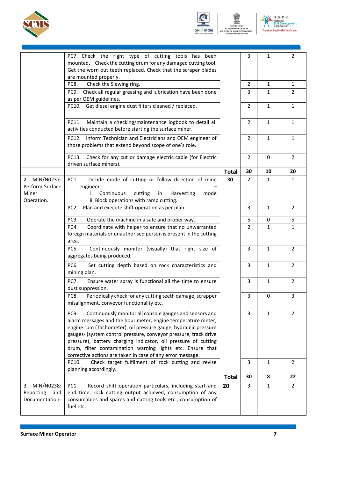



**ENT OF INDIA<br>LL DEVELOPI**<br>NENEUDEHID

.<br>MENT



|                                                         | PC7. Check the right type of cutting tools has<br>been                                                                                                                                                                                                                                                                                                                                                                                                               |              | 3              | 1            | $\overline{2}$ |
|---------------------------------------------------------|----------------------------------------------------------------------------------------------------------------------------------------------------------------------------------------------------------------------------------------------------------------------------------------------------------------------------------------------------------------------------------------------------------------------------------------------------------------------|--------------|----------------|--------------|----------------|
|                                                         | mounted. Check the cutting drum for any damaged cutting tool.<br>Get the worn out teeth replaced. Check that the scraper blades                                                                                                                                                                                                                                                                                                                                      |              |                |              |                |
|                                                         | are mounted properly.                                                                                                                                                                                                                                                                                                                                                                                                                                                |              |                |              |                |
|                                                         | PC8.<br>Check the Slewing ring.                                                                                                                                                                                                                                                                                                                                                                                                                                      |              | $\overline{2}$ | 1            | $\mathbf{1}$   |
|                                                         | Check all regular greasing and lubrication have been done<br>PC9.<br>as per OEM guidelines.                                                                                                                                                                                                                                                                                                                                                                          |              | 3              | 1            | $\overline{2}$ |
|                                                         | PC10. Get diesel engine dust filters cleaned / replaced.                                                                                                                                                                                                                                                                                                                                                                                                             |              | $\overline{2}$ | $\mathbf{1}$ | $\mathbf{1}$   |
|                                                         | PC11.<br>Maintain a checking/maintenance logbook to detail all<br>activities conducted before starting the surface miner.                                                                                                                                                                                                                                                                                                                                            |              | $\overline{2}$ | $\mathbf{1}$ | $\mathbf{1}$   |
|                                                         | Inform Technician and Electricians and OEM engineer of<br>PC12.<br>those problems that extend beyond scope of one's role.                                                                                                                                                                                                                                                                                                                                            |              | $\overline{2}$ | $\mathbf{1}$ | $\mathbf{1}$   |
|                                                         | Check for any cut or damage electric cable (for Electric<br>PC13.<br>driven surface miners).                                                                                                                                                                                                                                                                                                                                                                         |              | $\overline{2}$ | $\mathbf 0$  | $\overline{2}$ |
|                                                         |                                                                                                                                                                                                                                                                                                                                                                                                                                                                      | <b>Total</b> | 30             | 10           | 20             |
| 2. MIN/N0237:<br>Perform Surface<br>Miner<br>Operation. | Decide mode of cutting or follow direction of mine<br>PC1.<br>engineer<br>Continuous<br>cutting<br>in<br>Harvesting<br>i.<br>mode<br>ii. Block operations with ramp cutting.                                                                                                                                                                                                                                                                                         | 30           | $\overline{2}$ | $\mathbf{1}$ | $\mathbf{1}$   |
|                                                         | Plan and execute shift operation as per plan.<br>PC <sub>2</sub> .                                                                                                                                                                                                                                                                                                                                                                                                   |              | 3              | 1            | $\overline{2}$ |
|                                                         | PC3.<br>Operate the machine in a safe and proper way.                                                                                                                                                                                                                                                                                                                                                                                                                |              | 5              | 0            | 5              |
|                                                         | PC4.<br>Coordinate with helper to ensure that no unwarranted                                                                                                                                                                                                                                                                                                                                                                                                         |              | $\overline{2}$ | $\mathbf{1}$ | $\mathbf{1}$   |
|                                                         | foreign materials or unauthorised person is present in the cutting<br>area.                                                                                                                                                                                                                                                                                                                                                                                          |              |                |              |                |
|                                                         | PC5.<br>Continuously monitor (visually) that right size of<br>aggregates being produced.                                                                                                                                                                                                                                                                                                                                                                             |              | 3              | $\mathbf{1}$ | $\overline{2}$ |
|                                                         | PC6.<br>Set cutting depth based on rock characteristics and<br>mining plan.                                                                                                                                                                                                                                                                                                                                                                                          |              | 3              | 1            | $\overline{2}$ |
|                                                         | <b>PC7.</b><br>Ensure water spray is functional all the time to ensure<br>dust suppression.                                                                                                                                                                                                                                                                                                                                                                          |              | 3              | 1            | 2              |
|                                                         | Periodically check for any cutting teeth damage, scrapper<br>PC8.<br>misalignment, conveyor functionality etc.                                                                                                                                                                                                                                                                                                                                                       |              | 3              | $\mathbf 0$  | 3              |
|                                                         | Continuously monitor all console gauges and sensors and<br>PC9.<br>alarm messages and the hour meter, engine temperature meter,<br>engine rpm (Tachometer), oil pressure gauge, hydraulic pressure<br>gauges- (system control pressure, conveyor pressure, track drive<br>pressure), battery charging indicator, oil pressure of cutting<br>drum, filter contamination warning lights etc. Ensure that<br>corrective actions are taken in case of any error message. |              | 3              | $\mathbf{1}$ | $\overline{2}$ |
|                                                         | PC10.<br>Check target fulfilment of rock cutting and revise<br>planning accordingly.                                                                                                                                                                                                                                                                                                                                                                                 |              | 3              | $\mathbf{1}$ | $\overline{2}$ |
|                                                         |                                                                                                                                                                                                                                                                                                                                                                                                                                                                      | <b>Total</b> | 30             | 8            | 22             |
| 3. MIN/N0238:<br>Reporting<br>and<br>Documentation-     | Record shift operation particulars, including start and<br>PC1.<br>end time, rock cutting output achieved, consumption of any<br>consumables and spares and cutting tools etc., consumption of<br>fuel etc.                                                                                                                                                                                                                                                          | 20           | 3              | $\mathbf{1}$ | $\overline{2}$ |